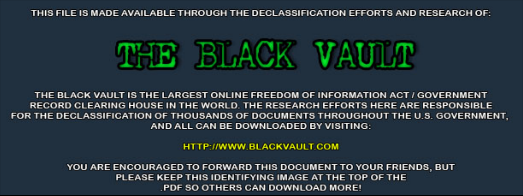THIS FILE IS MADE AVAILABLE THROUGH THE DECLASSIFICATION EFFORTS AND RESEARCH OF:



THE BLACK VAULT IS THE LARGEST ONLINE FREEDOM OF INFORMATION ACT / GOVERNMENT RECORD CLEARING HOUSE IN THE WORLD. THE RESEARCH EFFORTS HERE ARE RESPONSIBLE FOR THE DECLASSIFICATION OF THOUSANDS OF DOCUMENTS THROUGHOUT THE U.S. GOVERNMENT, AND ALL CAN BE DOWNLOADED BY VISITING:

**HTTP://WWW.BLACKVAULT.COM** 

YOU ARE ENCOURAGED TO FORWARD THIS DOCUMENT TO YOUR FRIENDS, BUT PLEASE KEEP THIS IDENTIFYING IMAGE AT THE TOP OF THE PDF SO OTHERS CAN DOWNLOAD MORE!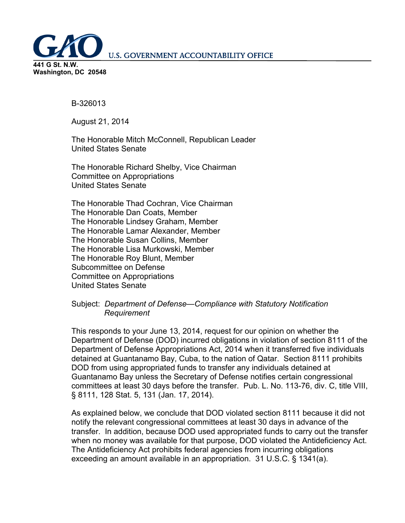**U.S. GOVERNMENT ACCOUNTABILITY OFFICE** 



B-326013

August 21, 2014

The Honorable Mitch McConnell, Republican Leader United States Senate

The Honorable Richard Shelby, Vice Chairman Committee on Appropriations United States Senate

The Honorable Thad Cochran, Vice Chairman The Honorable Dan Coats, Member The Honorable Lindsey Graham, Member The Honorable Lamar Alexander, Member The Honorable Susan Collins, Member The Honorable Lisa Murkowski, Member The Honorable Roy Blunt, Member Subcommittee on Defense Committee on Appropriations United States Senate

#### Subject: *Department of Defense—Compliance with Statutory Notification Requirement*

This responds to your June 13, 2014, request for our opinion on whether the Department of Defense (DOD) incurred obligations in violation of section 8111 of the Department of Defense Appropriations Act, 2014 when it transferred five individuals detained at Guantanamo Bay, Cuba, to the nation of Qatar. Section 8111 prohibits DOD from using appropriated funds to transfer any individuals detained at Guantanamo Bay unless the Secretary of Defense notifies certain congressional committees at least 30 days before the transfer. Pub. L. No. 113-76, div. C, title VIII, § 8111, 128 Stat. 5, 131 (Jan. 17, 2014).

As explained below, we conclude that DOD violated section 8111 because it did not notify the relevant congressional committees at least 30 days in advance of the transfer. In addition, because DOD used appropriated funds to carry out the transfer when no money was available for that purpose, DOD violated the Antideficiency Act. The Antideficiency Act prohibits federal agencies from incurring obligations exceeding an amount available in an appropriation. 31 U.S.C. § 1341(a).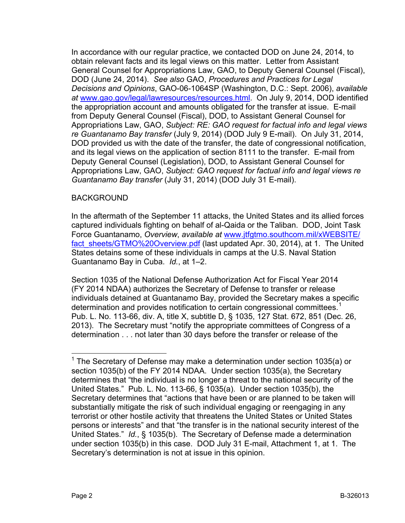In accordance with our regular practice, we contacted DOD on June 24, 2014, to obtain relevant facts and its legal views on this matter. Letter from Assistant General Counsel for Appropriations Law, GAO, to Deputy General Counsel (Fiscal), DOD (June 24, 2014). *See also* GAO, *Procedures and Practices for Legal Decisions and Opinions*, GAO-06-1064SP (Washington, D.C.: Sept. 2006), *available at* [www.gao.gov/legal/lawresources/resources.html.](http://www.gao.gov/legal/lawresources/resources.html) On July 9, 2014, DOD identified the appropriation account and amounts obligated for the transfer at issue. E-mail from Deputy General Counsel (Fiscal), DOD, to Assistant General Counsel for Appropriations Law, GAO, *Subject: RE: GAO request for factual info and legal views re Guantanamo Bay transfer* (July 9, 2014) (DOD July 9 E-mail). On July 31, 2014, DOD provided us with the date of the transfer, the date of congressional notification, and its legal views on the application of section 8111 to the transfer. E-mail from Deputy General Counsel (Legislation), DOD, to Assistant General Counsel for Appropriations Law, GAO, *Subject: GAO request for factual info and legal views re Guantanamo Bay transfer* (July 31, 2014) (DOD July 31 E-mail).

## BACKGROUND

In the aftermath of the September 11 attacks, the United States and its allied forces captured individuals fighting on behalf of al-Qaida or the Taliban. DOD, Joint Task Force Guantanamo, *Overview*, *available at* [www.jtfgtmo.southcom.mil/xWEBSITE/](http://www.jtfgtmo.southcom.mil/xWEBSITE/fact_sheets/GTMO%20Overview.pdf) fact sheets/GTMO%20Overview.pdf (last updated Apr. 30, 2014), at 1. The United States detains some of these individuals in camps at the U.S. Naval Station Guantanamo Bay in Cuba. *Id.*, at 1–2.

Section 1035 of the National Defense Authorization Act for Fiscal Year 2014 (FY 2014 NDAA) authorizes the Secretary of Defense to transfer or release individuals detained at Guantanamo Bay, provided the Secretary makes a specific determination and provides notification to certain congressional committees.<sup>[1](#page-2-0)</sup> Pub. L. No. 113-66, div. A, title X, subtitle D, § 1035, 127 Stat. 672, 851 (Dec. 26, 2013). The Secretary must "notify the appropriate committees of Congress of a determination . . . not later than 30 days before the transfer or release of the

<span id="page-2-0"></span> $1$  The Secretary of Defense may make a determination under section 1035(a) or section 1035(b) of the FY 2014 NDAA. Under section 1035(a), the Secretary determines that "the individual is no longer a threat to the national security of the United States." Pub. L. No. 113-66, § 1035(a). Under section 1035(b), the Secretary determines that "actions that have been or are planned to be taken will substantially mitigate the risk of such individual engaging or reengaging in any terrorist or other hostile activity that threatens the United States or United States persons or interests" and that "the transfer is in the national security interest of the United States." *Id.*, § 1035(b). The Secretary of Defense made a determination under section 1035(b) in this case. DOD July 31 E-mail, Attachment 1, at 1. The Secretary's determination is not at issue in this opinion.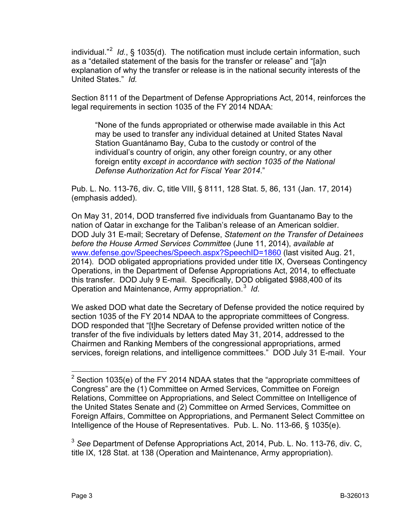individual."[2](#page-3-0) *Id.*, § 1035(d). The notification must include certain information, such as a "detailed statement of the basis for the transfer or release" and "[a]n explanation of why the transfer or release is in the national security interests of the United States." *Id.*

Section 8111 of the Department of Defense Appropriations Act, 2014, reinforces the legal requirements in section 1035 of the FY 2014 NDAA:

"None of the funds appropriated or otherwise made available in this Act may be used to transfer any individual detained at United States Naval Station Guantánamo Bay, Cuba to the custody or control of the individual's country of origin, any other foreign country, or any other foreign entity *except in accordance with section 1035 of the National Defense Authorization Act for Fiscal Year 2014*."

Pub. L. No. 113-76, div. C, title VIII, § 8111, 128 Stat. 5, 86, 131 (Jan. 17, 2014) (emphasis added).

On May 31, 2014, DOD transferred five individuals from Guantanamo Bay to the nation of Qatar in exchange for the Taliban's release of an American soldier. DOD July 31 E-mail; Secretary of Defense, *Statement on the Transfer of Detainees before the House Armed Services Committee* (June 11, 2014), *available at* [www.defense.gov/Speeches/Speech.aspx?SpeechID=1860](http://www.defense.gov/Speeches/Speech.aspx?SpeechID=1860) (last visited Aug. 21, 2014). DOD obligated appropriations provided under title IX, Overseas Contingency Operations, in the Department of Defense Appropriations Act, 2014, to effectuate this transfer. DOD July 9 E-mail. Specifically, DOD obligated \$988,400 of its Operation and Maintenance, Army appropriation.[3](#page-3-1) *Id*.

We asked DOD what date the Secretary of Defense provided the notice required by section 1035 of the FY 2014 NDAA to the appropriate committees of Congress. DOD responded that "[t]he Secretary of Defense provided written notice of the transfer of the five individuals by letters dated May 31, 2014, addressed to the Chairmen and Ranking Members of the congressional appropriations, armed services, foreign relations, and intelligence committees." DOD July 31 E-mail. Your

<span id="page-3-1"></span><sup>3</sup> *See* Department of Defense Appropriations Act, 2014, Pub. L. No. 113-76, div. C, title IX, 128 Stat. at 138 (Operation and Maintenance, Army appropriation).

<span id="page-3-0"></span> $2$  Section 1035(e) of the FY 2014 NDAA states that the "appropriate committees of Congress" are the (1) Committee on Armed Services, Committee on Foreign Relations, Committee on Appropriations, and Select Committee on Intelligence of the United States Senate and (2) Committee on Armed Services, Committee on Foreign Affairs, Committee on Appropriations, and Permanent Select Committee on Intelligence of the House of Representatives. Pub. L. No. 113-66, § 1035(e).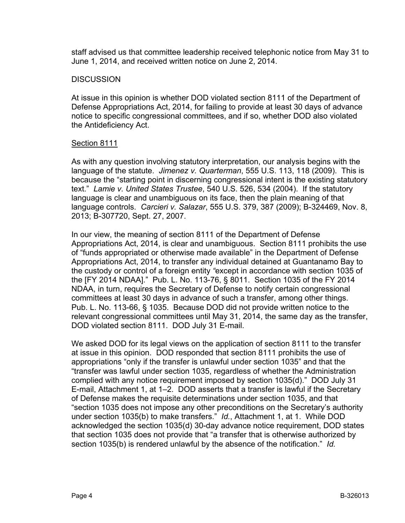staff advised us that committee leadership received telephonic notice from May 31 to June 1, 2014, and received written notice on June 2, 2014.

### **DISCUSSION**

At issue in this opinion is whether DOD violated section 8111 of the Department of Defense Appropriations Act, 2014, for failing to provide at least 30 days of advance notice to specific congressional committees, and if so, whether DOD also violated the Antideficiency Act.

#### Section 8111

As with any question involving statutory interpretation, our analysis begins with the language of the statute. *Jimenez v. Quarterman*, 555 U.S. 113, 118 (2009). This is because the "starting point in discerning congressional intent is the existing statutory text." *Lamie v. United States Trustee*, 540 U.S. 526, 534 (2004). If the statutory language is clear and unambiguous on its face, then the plain meaning of that language controls. *Carcieri v. Salazar*, 555 U.S. 379, 387 (2009); B-324469, Nov. 8, 2013; B-307720, Sept. 27, 2007.

In our view, the meaning of section 8111 of the Department of Defense Appropriations Act, 2014, is clear and unambiguous. Section 8111 prohibits the use of "funds appropriated or otherwise made available" in the Department of Defense Appropriations Act, 2014, to transfer any individual detained at Guantanamo Bay to the custody or control of a foreign entity *"*except in accordance with section 1035 of the [FY 2014 NDAA]." Pub. L. No. 113-76, § 8011. Section 1035 of the FY 2014 NDAA, in turn, requires the Secretary of Defense to notify certain congressional committees at least 30 days in advance of such a transfer, among other things. Pub. L. No. 113-66, § 1035. Because DOD did not provide written notice to the relevant congressional committees until May 31, 2014, the same day as the transfer, DOD violated section 8111. DOD July 31 E-mail.

We asked DOD for its legal views on the application of section 8111 to the transfer at issue in this opinion. DOD responded that section 8111 prohibits the use of appropriations "only if the transfer is unlawful under section 1035" and that the "transfer was lawful under section 1035, regardless of whether the Administration complied with any notice requirement imposed by section 1035(d)." DOD July 31 E-mail, Attachment 1, at 1–2. DOD asserts that a transfer is lawful if the Secretary of Defense makes the requisite determinations under section 1035, and that "section 1035 does not impose any other preconditions on the Secretary's authority under section 1035(b) to make transfers." *Id.*, Attachment 1, at 1. While DOD acknowledged the section 1035(d) 30-day advance notice requirement, DOD states that section 1035 does not provide that "a transfer that is otherwise authorized by section 1035(b) is rendered unlawful by the absence of the notification." *Id.*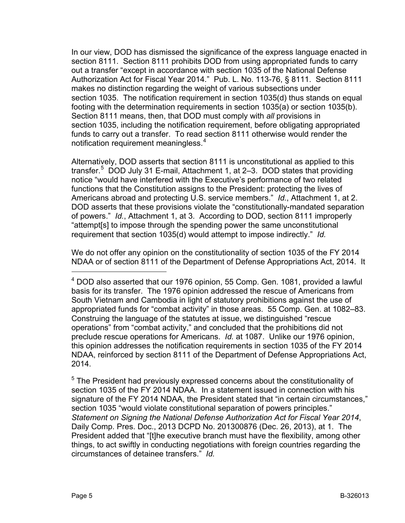In our view, DOD has dismissed the significance of the express language enacted in section 8111. Section 8111 prohibits DOD from using appropriated funds to carry out a transfer "except in accordance with section 1035 of the National Defense Authorization Act for Fiscal Year 2014." Pub. L. No. 113-76, § 8111. Section 8111 makes no distinction regarding the weight of various subsections under section 1035. The notification requirement in section 1035(d) thus stands on equal footing with the determination requirements in section 1035(a) or section 1035(b). Section 8111 means, then, that DOD must comply with *all* provisions in section 1035, including the notification requirement, before obligating appropriated funds to carry out a transfer. To read section 8111 otherwise would render the notification requirement meaningless.<sup>[4](#page-5-0)</sup>

Alternatively, DOD asserts that section 8111 is unconstitutional as applied to this transfer.<sup>[5](#page-5-1)</sup> DOD July 31 E-mail, Attachment 1, at 2–3. DOD states that providing notice "would have interfered with the Executive's performance of two related functions that the Constitution assigns to the President: protecting the lives of Americans abroad and protecting U.S. service members." *Id.*, Attachment 1, at 2. DOD asserts that these provisions violate the "constitutionally-mandated separation of powers." *Id.*, Attachment 1, at 3. According to DOD, section 8111 improperly "attempt[s] to impose through the spending power the same unconstitutional requirement that section 1035(d) would attempt to impose indirectly." *Id.*

We do not offer any opinion on the constitutionality of section 1035 of the FY 2014 NDAA or of section 8111 of the Department of Defense Appropriations Act, 2014. It

<span id="page-5-0"></span> $<sup>4</sup>$  DOD also asserted that our 1976 opinion, 55 Comp. Gen. 1081, provided a lawful</sup> basis for its transfer. The 1976 opinion addressed the rescue of Americans from South Vietnam and Cambodia in light of statutory prohibitions against the use of appropriated funds for "combat activity" in those areas. 55 Comp. Gen. at 1082–83. Construing the language of the statutes at issue, we distinguished "rescue operations" from "combat activity," and concluded that the prohibitions did not preclude rescue operations for Americans. *Id.* at 1087. Unlike our 1976 opinion, this opinion addresses the notification requirements in section 1035 of the FY 2014 NDAA, reinforced by section 8111 of the Department of Defense Appropriations Act, 2014.

<span id="page-5-1"></span><sup>&</sup>lt;sup>5</sup> The President had previously expressed concerns about the constitutionality of section 1035 of the FY 2014 NDAA. In a statement issued in connection with his signature of the FY 2014 NDAA, the President stated that "in certain circumstances," section 1035 "would violate constitutional separation of powers principles." *Statement on Signing the National Defense Authorization Act for Fiscal Year 2014*, Daily Comp. Pres. Doc., 2013 DCPD No. 201300876 (Dec. 26, 2013), at 1. The President added that "[t]he executive branch must have the flexibility, among other things, to act swiftly in conducting negotiations with foreign countries regarding the circumstances of detainee transfers." *Id.*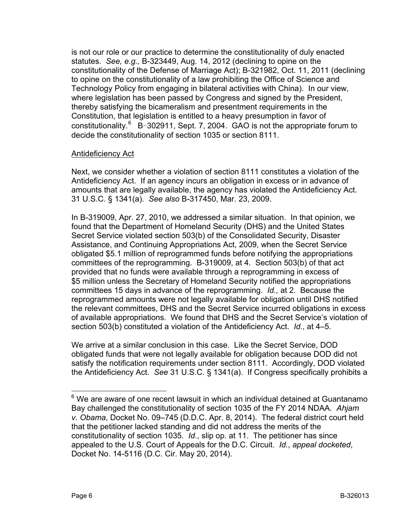is not our role or our practice to determine the constitutionality of duly enacted statutes. *See, e.g.,* B-323449, Aug. 14, 2012 (declining to opine on the constitutionality of the Defense of Marriage Act); B-321982, Oct. 11, 2011 (declining to opine on the constitutionality of a law prohibiting the Office of Science and Technology Policy from engaging in bilateral activities with China). In our view, where legislation has been passed by Congress and signed by the President, thereby satisfying the bicameralism and presentment requirements in the Constitution, that legislation is entitled to a heavy presumption in favor of constitutionality. $6$  B-302911, Sept. 7, 2004. GAO is not the appropriate forum to decide the constitutionality of section 1035 or section 8111.

### Antideficiency Act

Next, we consider whether a violation of section 8111 constitutes a violation of the Antideficiency Act. If an agency incurs an obligation in excess or in advance of amounts that are legally available, the agency has violated the Antideficiency Act. 31 U.S.C. § 1341(a). *See also* B-317450, Mar. 23, 2009.

In B-319009, Apr. 27, 2010, we addressed a similar situation. In that opinion, we found that the Department of Homeland Security (DHS) and the United States Secret Service violated section 503(b) of the Consolidated Security, Disaster Assistance, and Continuing Appropriations Act, 2009, when the Secret Service obligated \$5.1 million of reprogrammed funds before notifying the appropriations committees of the reprogramming. B-319009, at 4. Section 503(b) of that act provided that no funds were available through a reprogramming in excess of \$5 million unless the Secretary of Homeland Security notified the appropriations committees 15 days in advance of the reprogramming. *Id.,* at 2. Because the reprogrammed amounts were not legally available for obligation until DHS notified the relevant committees, DHS and the Secret Service incurred obligations in excess of available appropriations. We found that DHS and the Secret Service's violation of section 503(b) constituted a violation of the Antideficiency Act. *Id.*, at 4–5.

We arrive at a similar conclusion in this case. Like the Secret Service, DOD obligated funds that were not legally available for obligation because DOD did not satisfy the notification requirements under section 8111. Accordingly, DOD violated the Antideficiency Act. *See* 31 U.S.C. § 1341(a). If Congress specifically prohibits a

<span id="page-6-0"></span> $6$  We are aware of one recent lawsuit in which an individual detained at Guantanamo Bay challenged the constitutionality of section 1035 of the FY 2014 NDAA. *Ahjam v. Obama*, Docket No. 09–745 (D.D.C. Apr. 8, 2014). The federal district court held that the petitioner lacked standing and did not address the merits of the constitutionality of section 1035. *Id.*, slip op. at 11. The petitioner has since appealed to the U.S. Court of Appeals for the D.C. Circuit. *Id.*, *appeal docketed*, Docket No. 14-5116 (D.C. Cir. May 20, 2014).